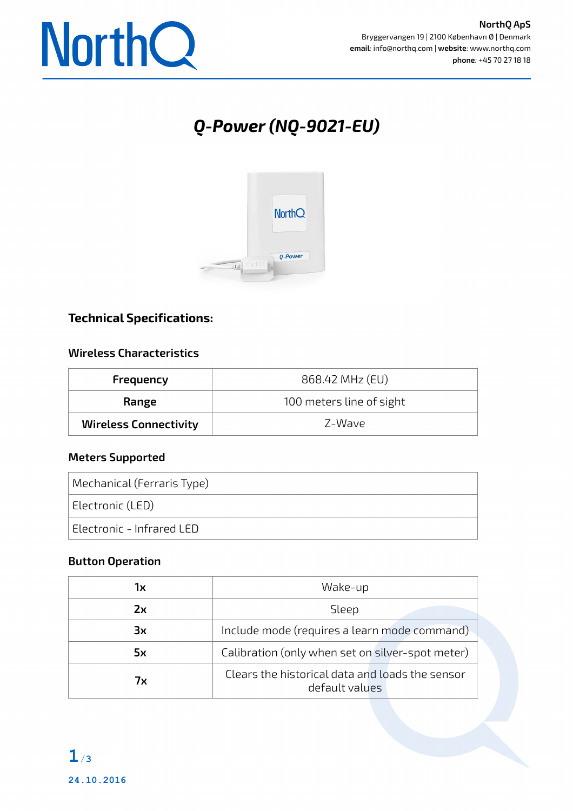

# *Q-Power (NQ-9021-EU)*



# **Technical Specifications:**

#### **Wireless Characteristics**

| Frequency                    | 868.42 MHz (EU)          |
|------------------------------|--------------------------|
| Range                        | 100 meters line of sight |
| <b>Wireless Connectivity</b> | 7-Wave                   |

#### **Meters Supported**

| Mechanical (Ferraris Type) |
|----------------------------|
| Electronic (LED)           |
| Electronic - Infrared LED  |

#### **Button Operation**

| lх | Wake-up                                                           |
|----|-------------------------------------------------------------------|
| Zх | Sleep                                                             |
| Зx | Include mode (requires a learn mode command)                      |
| 5x | Calibration (only when set on silver-spot meter)                  |
| 7х | Clears the historical data and loads the sensor<br>default values |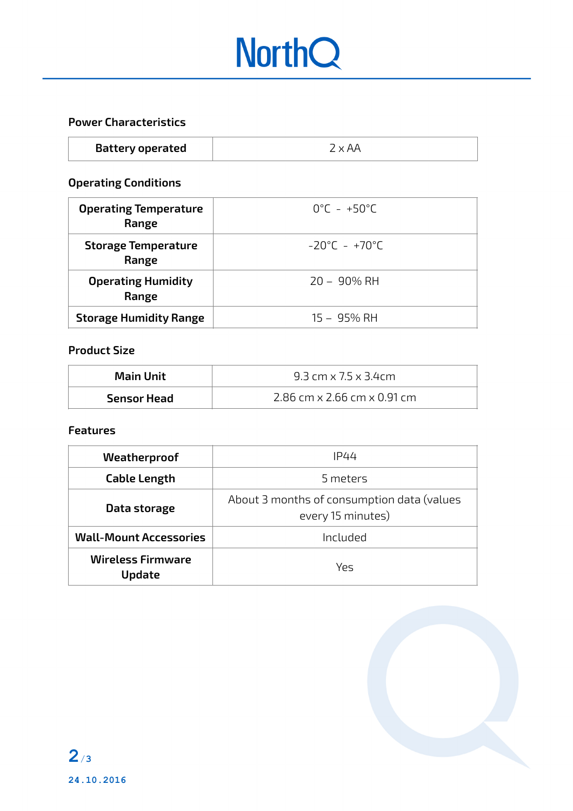# **NorthQ**

### **Power Characteristics**

| <b>Battery operated</b> | $2 \times AA$ |
|-------------------------|---------------|
|-------------------------|---------------|

# **Operating Conditions**

| <b>Operating Temperature</b><br>Range | $0^{\circ}$ C – +50 $^{\circ}$ C   |
|---------------------------------------|------------------------------------|
| <b>Storage Temperature</b><br>Range   | $-20^{\circ}$ C - +70 $^{\circ}$ C |
| <b>Operating Humidity</b><br>Range    | $20 - 90\%$ RH                     |
| <b>Storage Humidity Range</b>         | 15 – 95% RH                        |

#### **Product Size**

| <b>Main Unit</b> | 9.3 cm $\times$ 7.5 $\times$ 3.4cm        |
|------------------|-------------------------------------------|
| Sensor Head      | 2.86 cm $\times$ 2.66 cm $\times$ 0.91 cm |

#### **Features**

| Weatherproof                              | IP44                                                            |
|-------------------------------------------|-----------------------------------------------------------------|
| <b>Cable Length</b>                       | 5 meters                                                        |
| Data storage                              | About 3 months of consumption data (values<br>every 15 minutes) |
| <b>Wall-Mount Accessories</b>             | Included                                                        |
| <b>Wireless Firmware</b><br><b>Update</b> | Yρς                                                             |